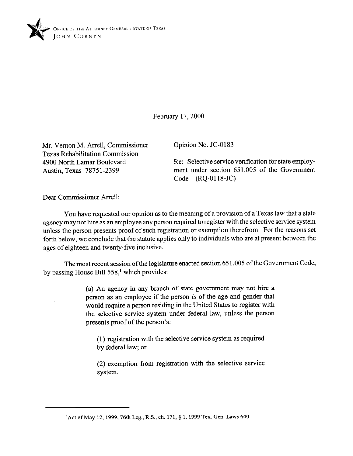

February 17,200O

Mr. Vernon M. Arrell, Commissioner Texas Rehabilitation Commission 4900 North Lamar Boulevard Austin, Texas 78751-2399

Opinion No. JC-0183

Re: Selective service verification for state employment under section 651.005 of the Government Code (RQ-0118-JC)

Dear Commissioner Arrell:

You have requested our opinion as to the meaning of a provision of a Texas law that a state agency may not hire as an employee any person required to register with the selective service system unless the person presents proof of such registration or exemption therefrom. For the reasons set forth below, we conclude that the statute applies only to individuals who are at present between the ages of eighteen and twenty-five inclusive.

The most recent session of the legislature enacted section 65 1.005 of the Government Code, by passing House Bill 558,' which provides:

> (a) An agency in any branch of state government may not hire a person as an employee if the person *is* of the age and gender that would require a person residing in the United States to register with the selective service system under federal law, unless the person presents proof of the person's:

(1) registration with the selective service system as required by federal law; or

(2) exemption from registration with the selective service system.

<sup>&</sup>lt;sup>1</sup> Act of May 12, 1999, 76th Leg., R.S., ch. 171, § 1, 1999 Tex. Gen. Laws 640.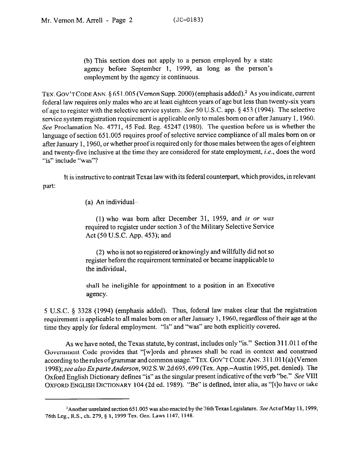(b) This section does not apply to a person employed by a state agency before September 1, 1999, as long as the person's employment by the agency is continuous.

TEX. GOV'T CODE ANN. § 651.005 (Vernon Supp. 2000) (emphasis added).<sup>2</sup> As you indicate, current federal law requires only males who are at least eighteen years of age but less than twenty-six years ofage to register with the selective service system. See 50 U.S.C. app. § 453 (1994). The selective service system registration requirement is applicable only to males born on or after January 1,196O. See Proclamation No. 4771, 45 Fed. Reg. 45247 (1980). The question before us is whether the language of section 651.005 requires proof of selective service compliance of all males born on or after January 1,1960, or whether proof is required only for those males between the ages of eighteen and twenty-five inclusive at the time they are considered for state employment, *i.e.,* does the word "is" include "was"?

It is instructive to contrast Texas law with its federal counterpart, which provides, in relevant part:

(a) An individual-

(1) who was born after December 31, 1959, and is or was required to register under section 3 of the Military Selective Service Act (50 U.S.C. App. 453); and

(2) who is not so registered or knowingly and willfully did not so register before the requirement terminated or became inapplicable to the individual,

shall be ineligible for appointment to a position in an Executive agency.

5 U.S.C. 5 3328 (1994) (emphasis added). Thus, federal law makes clear that the registration requirement is applicable to all males born on or after January 1, 1960, regardless of their age at the time they. apply for federal employment. "Is" and "was" are both explicitly covered.

As we have noted, the Texas statute, by contrast, includes only "is." Section 311.011 of the Government Code provides that "[wlords and phrases shall be read in context and construed according to the rules of grammar and common usage." **TEX. GOV'T CODE** ANN. 3 11 .Ol l(a) (Vernon 1998); see also Exparte Anderson, 902 S.W.2d 695, 699 (Tex. App.-Austin 1995, pet. denied). The Oxford English Dictionary defines "is" as the singular present indicative of the verb "be." See VIII OXFORD ENGLISH DICTIONARY 104 (2d ed. 1989). "Be" is defined, inter alia, as "[t]o have or take

<sup>&</sup>lt;sup>2</sup> Another unrelated section 651.005 was also enacted by the 76th Texas Legislature. See Act of May 11, 1999, 76th Leg., R.S., ch. 279, § 1, 1999 Tex. Gen. Laws 1147, 1148.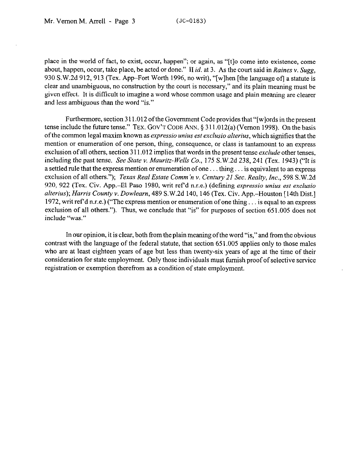place in the world of fact, to exist, occur, happen"; or again, as "[t]o come into existence, come about, happen, occur, take place, be acted or done." II *id.* at 3. As the court said in *Raines v. Sugg,*  930 S.W.2d 912, 913 (Tex. App–Fort Worth 1996, no writ), "[w]hen [the language of] a statute is clear and unambiguous, no construction by the court is necessary," and its plain meaning must be given effect. It is difficult to imagine a word whose common usage and plain meaning are clearer and less ambiguous than the word "is."

Furthermore, section 311.012 of the Government Code provides that "[w] ords in the present tense include the future tense." TEX. **GOV'T CODE** ANN. § 311.012(a) (Vernon 1998). On the basis ofthe common legal maxim known as *expressio* unius *est exclusio alterius,* which signifies that the mention or enumeration of one person, thing, consequence, or class is tantamount to an express exclusion of all others, section 3 11.012 implies that words in the present tense *exclude* other tenses, including the past tense. See *State v. Mauritz-Wells Co., 175* S.W.2d 238,241 (Tex. 1943) ("It is a settled rule that the express mention or enumeration of one... thing... is equivalent to an express exclusion of all others."); *Texas Real Estate Comm 'n Y. Century 21 Sec. Realty, Inc., 598* S.W.2d 920, 922 (Tex. Civ. App.-El Paso 1980, writ ref d n.r.e.) (defining *expressio unius est exclusio alterius); Harris* County v. *Dowlearn,* 489 S.W.2d 140, 146 (Tex. Civ. App.-Houston [14th Dist.] 1972, writ ref'd n.r.e.) ("The express mention or enumeration of one thing  $\ldots$  is equal to an express exclusion of all others."). Thus, we conclude that "is" for purposes of section 651.005 does not include "was."

In our opinion, it is clear, both from the plain meaning of the word "is," and from the obvious contrast with the language of the federal statute, that section 65 1.005 applies only to those males who are at least eighteen years of age but less than twenty-six years of age at the time of their consideration for state employment. Only those individuals must furnish proof of selective service registration or exemption therefrom as a condition of state employment.